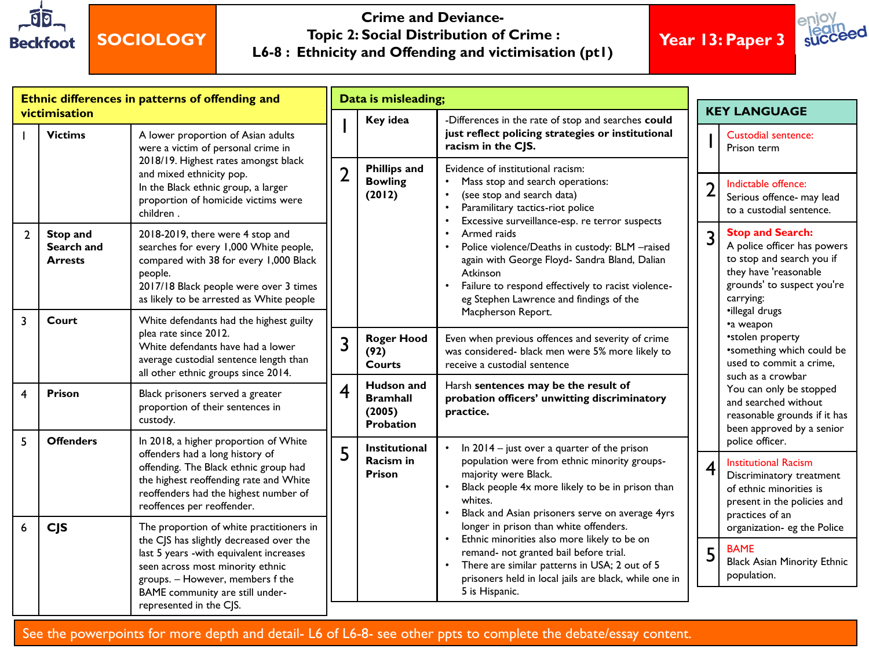

## **SOCIOLOGY**

#### **Crime and Deviance-Topic 2: Social Distribution of Crime : L6-8 : Ethnicity and Offending and victimisation (pt1)**

**Year 13: Paper 3**

succeed

| <b>KEY LANGUAGE</b><br>victimisation<br>Key idea<br>-Differences in the rate of stop and searches could<br>just reflect policing strategies or institutional<br><b>Victims</b><br>A lower proportion of Asian adults<br>Custodial sentence:<br>racism in the CJS.<br>were a victim of personal crime in<br>Prison term<br>2018/19. Highest rates amongst black<br><b>Phillips and</b><br>Evidence of institutional racism:<br>$\overline{2}$<br>and mixed ethnicity pop.<br><b>Bowling</b><br>$\bullet$<br>Mass stop and search operations:<br>Indictable offence:<br>$\overline{2}$<br>In the Black ethnic group, a larger<br>(2012)<br>(see stop and search data)<br>$\bullet$<br>proportion of homicide victims were<br>Paramilitary tactics-riot police<br>$\bullet$<br>children.<br>Excessive surveillance-esp. re terror suspects<br><b>Stop and Search:</b><br>Armed raids<br>Stop and<br>2018-2019, there were 4 stop and<br>$\overline{2}$<br>3<br>Police violence/Deaths in custody: BLM -raised<br>Search and<br>searches for every 1,000 White people,<br>$\bullet$<br>compared with 38 for every 1,000 Black<br>again with George Floyd- Sandra Bland, Dalian<br><b>Arrests</b><br>Atkinson<br>people.<br>2017/18 Black people were over 3 times<br>Failure to respond effectively to racist violence-<br>$\bullet$<br>eg Stephen Lawrence and findings of the<br>carrying:<br>as likely to be arrested as White people<br>•illegal drugs<br>Macpherson Report.<br>$\overline{3}$<br>Court<br>White defendants had the highest guilty<br>•a weapon<br>plea rate since 2012.<br>*stolen property<br><b>Roger Hood</b><br>Even when previous offences and severity of crime<br>3<br>White defendants have had a lower<br>was considered- black men were 5% more likely to<br>(92)<br>average custodial sentence length than<br><b>Courts</b> | Ethnic differences in patterns of offending and |  |                                     | Data is misleading; |  |                              |  |  |                                                                                                                                                                         |  |
|---------------------------------------------------------------------------------------------------------------------------------------------------------------------------------------------------------------------------------------------------------------------------------------------------------------------------------------------------------------------------------------------------------------------------------------------------------------------------------------------------------------------------------------------------------------------------------------------------------------------------------------------------------------------------------------------------------------------------------------------------------------------------------------------------------------------------------------------------------------------------------------------------------------------------------------------------------------------------------------------------------------------------------------------------------------------------------------------------------------------------------------------------------------------------------------------------------------------------------------------------------------------------------------------------------------------------------------------------------------------------------------------------------------------------------------------------------------------------------------------------------------------------------------------------------------------------------------------------------------------------------------------------------------------------------------------------------------------------------------------------------------------------------------------------------------------------------------------------------|-------------------------------------------------|--|-------------------------------------|---------------------|--|------------------------------|--|--|-------------------------------------------------------------------------------------------------------------------------------------------------------------------------|--|
|                                                                                                                                                                                                                                                                                                                                                                                                                                                                                                                                                                                                                                                                                                                                                                                                                                                                                                                                                                                                                                                                                                                                                                                                                                                                                                                                                                                                                                                                                                                                                                                                                                                                                                                                                                                                                                                         |                                                 |  |                                     |                     |  |                              |  |  |                                                                                                                                                                         |  |
|                                                                                                                                                                                                                                                                                                                                                                                                                                                                                                                                                                                                                                                                                                                                                                                                                                                                                                                                                                                                                                                                                                                                                                                                                                                                                                                                                                                                                                                                                                                                                                                                                                                                                                                                                                                                                                                         |                                                 |  |                                     |                     |  |                              |  |  |                                                                                                                                                                         |  |
|                                                                                                                                                                                                                                                                                                                                                                                                                                                                                                                                                                                                                                                                                                                                                                                                                                                                                                                                                                                                                                                                                                                                                                                                                                                                                                                                                                                                                                                                                                                                                                                                                                                                                                                                                                                                                                                         |                                                 |  |                                     |                     |  |                              |  |  | Serious offence- may lead<br>to a custodial sentence.                                                                                                                   |  |
|                                                                                                                                                                                                                                                                                                                                                                                                                                                                                                                                                                                                                                                                                                                                                                                                                                                                                                                                                                                                                                                                                                                                                                                                                                                                                                                                                                                                                                                                                                                                                                                                                                                                                                                                                                                                                                                         |                                                 |  |                                     |                     |  |                              |  |  | A police officer has powers<br>to stop and search you if<br>they have 'reasonable<br>grounds' to suspect you're<br>*something which could be<br>used to commit a crime, |  |
|                                                                                                                                                                                                                                                                                                                                                                                                                                                                                                                                                                                                                                                                                                                                                                                                                                                                                                                                                                                                                                                                                                                                                                                                                                                                                                                                                                                                                                                                                                                                                                                                                                                                                                                                                                                                                                                         |                                                 |  | all other ethnic groups since 2014. |                     |  | receive a custodial sentence |  |  |                                                                                                                                                                         |  |
| such as a crowbar<br><b>Hudson</b> and<br>Harsh sentences may be the result of<br>4<br>$\overline{\mathbf{4}}$<br>Prison<br>Black prisoners served a greater<br>probation officers' unwitting discriminatory<br><b>Bramhall</b><br>proportion of their sentences in<br>(2005)<br>practice.<br>custody.<br><b>Probation</b>                                                                                                                                                                                                                                                                                                                                                                                                                                                                                                                                                                                                                                                                                                                                                                                                                                                                                                                                                                                                                                                                                                                                                                                                                                                                                                                                                                                                                                                                                                                              |                                                 |  |                                     |                     |  |                              |  |  | You can only be stopped<br>and searched without<br>reasonable grounds if it has<br>been approved by a senior                                                            |  |
| 5<br><b>Offenders</b><br>In 2018, a higher proportion of White<br>police officer.<br>In $2014 -$ just over a quarter of the prison<br><b>Institutional</b><br>$\bullet$<br>5<br>offenders had a long history of<br>Racism in<br>population were from ethnic minority groups-<br><b>Institutional Racism</b><br>$\overline{4}$<br>offending. The Black ethnic group had<br>majority were Black.<br><b>Prison</b><br>the highest reoffending rate and White<br>Black people 4x more likely to be in prison than<br>reoffenders had the highest number of<br>whites.<br>reoffences per reoffender.<br>Black and Asian prisoners serve on average 4yrs<br>$\bullet$<br>practices of an                                                                                                                                                                                                                                                                                                                                                                                                                                                                                                                                                                                                                                                                                                                                                                                                                                                                                                                                                                                                                                                                                                                                                                      |                                                 |  |                                     |                     |  |                              |  |  | Discriminatory treatment<br>of ethnic minorities is<br>present in the policies and                                                                                      |  |
| longer in prison than white offenders.<br>The proportion of white practitioners in<br>6<br><b>CJS</b><br>Ethnic minorities also more likely to be on<br>$\bullet$<br>the CJS has slightly decreased over the<br><b>BAME</b><br>5<br>remand- not granted bail before trial.<br>last 5 years -with equivalent increases<br>There are similar patterns in USA; 2 out of 5<br>seen across most minority ethnic<br>$\bullet$<br>population.<br>prisoners held in local jails are black, while one in<br>groups. - However, members f the<br>BAME community are still under-<br>5 is Hispanic.<br>represented in the CJS.                                                                                                                                                                                                                                                                                                                                                                                                                                                                                                                                                                                                                                                                                                                                                                                                                                                                                                                                                                                                                                                                                                                                                                                                                                     |                                                 |  |                                     |                     |  |                              |  |  | organization- eg the Police<br><b>Black Asian Minority Ethnic</b>                                                                                                       |  |

See the powerpoints for more depth and detail- L6 of L6-8- see other ppts to complete the debate/essay content.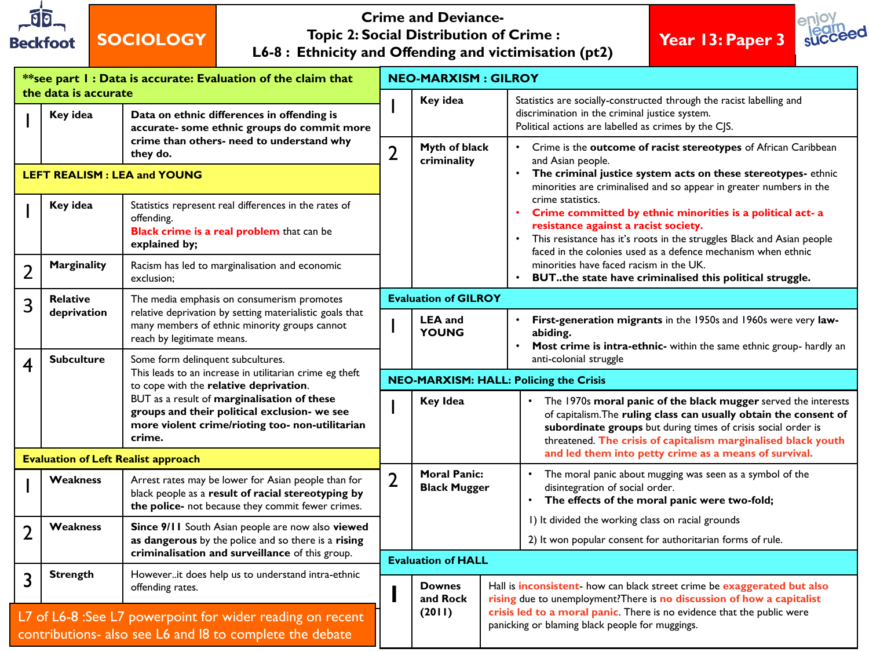

### **SOCIOLOGY**

#### **Crime and Deviance-Topic 2: Social Distribution of Crime : L6-8 : Ethnicity and Offending and victimisation (pt2)**





| **see part I : Data is accurate: Evaluation of the claim that                                                         |                                                                                                        |                                                                                                                                                                                                                                                                                                    | <b>NEO-MARXISM: GILROY</b> |                                               |                                                                                                                                                            |                                                                                                                                                                                                                                                                       |  |  |  |  |  |
|-----------------------------------------------------------------------------------------------------------------------|--------------------------------------------------------------------------------------------------------|----------------------------------------------------------------------------------------------------------------------------------------------------------------------------------------------------------------------------------------------------------------------------------------------------|----------------------------|-----------------------------------------------|------------------------------------------------------------------------------------------------------------------------------------------------------------|-----------------------------------------------------------------------------------------------------------------------------------------------------------------------------------------------------------------------------------------------------------------------|--|--|--|--|--|
|                                                                                                                       | the data is accurate<br>Key idea                                                                       | Data on ethnic differences in offending is<br>accurate- some ethnic groups do commit more                                                                                                                                                                                                          |                            | Key idea                                      |                                                                                                                                                            | Statistics are socially-constructed through the racist labelling and<br>discrimination in the criminal justice system.<br>Political actions are labelled as crimes by the CJS.                                                                                        |  |  |  |  |  |
|                                                                                                                       | crime than others- need to understand why<br>they do.                                                  |                                                                                                                                                                                                                                                                                                    | $\overline{2}$             | Myth of black<br>criminality                  |                                                                                                                                                            | • Crime is the outcome of racist stereotypes of African Caribbean<br>and Asian people.                                                                                                                                                                                |  |  |  |  |  |
| <b>LEFT REALISM: LEA and YOUNG</b>                                                                                    |                                                                                                        |                                                                                                                                                                                                                                                                                                    |                            |                                               |                                                                                                                                                            | The criminal justice system acts on these stereotypes-ethnic<br>minorities are criminalised and so appear in greater numbers in the                                                                                                                                   |  |  |  |  |  |
|                                                                                                                       | Key idea                                                                                               | Statistics represent real differences in the rates of<br>offending.<br>Black crime is a real problem that can be<br>explained by;                                                                                                                                                                  |                            |                                               |                                                                                                                                                            | crime statistics.<br>Crime committed by ethnic minorities is a political act- a<br>resistance against a racist society.<br>• This resistance has it's roots in the struggles Black and Asian people<br>faced in the colonies used as a defence mechanism when ethnic  |  |  |  |  |  |
| $\overline{2}$                                                                                                        | Marginality                                                                                            | Racism has led to marginalisation and economic<br>exclusion;                                                                                                                                                                                                                                       |                            |                                               | $\bullet$                                                                                                                                                  | minorities have faced racism in the UK.<br>BUTthe state have criminalised this political struggle.                                                                                                                                                                    |  |  |  |  |  |
| 3                                                                                                                     | <b>Relative</b>                                                                                        | The media emphasis on consumerism promotes                                                                                                                                                                                                                                                         |                            | <b>Evaluation of GILROY</b>                   |                                                                                                                                                            |                                                                                                                                                                                                                                                                       |  |  |  |  |  |
|                                                                                                                       | deprivation                                                                                            | relative deprivation by setting materialistic goals that<br>many members of ethnic minority groups cannot<br>reach by legitimate means.                                                                                                                                                            |                            | <b>LEA</b> and<br><b>YOUNG</b>                | abiding.                                                                                                                                                   | First-generation migrants in the 1950s and 1960s were very law-<br>Most crime is intra-ethnic- within the same ethnic group- hardly an                                                                                                                                |  |  |  |  |  |
| 4                                                                                                                     | <b>Subculture</b>                                                                                      | Some form delinquent subcultures.<br>This leads to an increase in utilitarian crime eg theft<br>to cope with the relative deprivation.<br>BUT as a result of marginalisation of these<br>groups and their political exclusion- we see<br>more violent crime/rioting too- non-utilitarian<br>crime. |                            |                                               | anti-colonial struggle                                                                                                                                     |                                                                                                                                                                                                                                                                       |  |  |  |  |  |
|                                                                                                                       |                                                                                                        |                                                                                                                                                                                                                                                                                                    |                            | <b>NEO-MARXISM: HALL: Policing the Crisis</b> |                                                                                                                                                            |                                                                                                                                                                                                                                                                       |  |  |  |  |  |
|                                                                                                                       |                                                                                                        |                                                                                                                                                                                                                                                                                                    |                            | <b>Key Idea</b>                               |                                                                                                                                                            | The 1970s moral panic of the black mugger served the interests<br>of capitalism. The ruling class can usually obtain the consent of<br>subordinate groups but during times of crisis social order is<br>threatened. The crisis of capitalism marginalised black youth |  |  |  |  |  |
|                                                                                                                       | <b>Evaluation of Left Realist approach</b>                                                             |                                                                                                                                                                                                                                                                                                    |                            |                                               |                                                                                                                                                            | and led them into petty crime as a means of survival.                                                                                                                                                                                                                 |  |  |  |  |  |
|                                                                                                                       | <b>Weakness</b>                                                                                        | Arrest rates may be lower for Asian people than for<br>black people as a result of racial stereotyping by<br>the police- not because they commit fewer crimes.                                                                                                                                     | $\overline{2}$             | <b>Moral Panic:</b><br><b>Black Mugger</b>    |                                                                                                                                                            | The moral panic about mugging was seen as a symbol of the<br>disintegration of social order.<br>The effects of the moral panic were two-fold;                                                                                                                         |  |  |  |  |  |
| $\overline{2}$                                                                                                        | <b>Weakness</b>                                                                                        | Since 9/11 South Asian people are now also viewed                                                                                                                                                                                                                                                  |                            |                                               |                                                                                                                                                            | I) It divided the working class on racial grounds                                                                                                                                                                                                                     |  |  |  |  |  |
|                                                                                                                       | as dangerous by the police and so there is a rising<br>criminalisation and surveillance of this group. |                                                                                                                                                                                                                                                                                                    |                            |                                               |                                                                                                                                                            | 2) It won popular consent for authoritarian forms of rule.                                                                                                                                                                                                            |  |  |  |  |  |
| 3                                                                                                                     | <b>Strength</b>                                                                                        | Howeverit does help us to understand intra-ethnic                                                                                                                                                                                                                                                  |                            | <b>Evaluation of HALL</b>                     |                                                                                                                                                            |                                                                                                                                                                                                                                                                       |  |  |  |  |  |
|                                                                                                                       | offending rates.                                                                                       |                                                                                                                                                                                                                                                                                                    |                            | <b>Downes</b><br>and Rock                     | Hall is <i>inconsistent</i> - how can black street crime be exaggerated but also<br>rising due to unemployment? There is no discussion of how a capitalist |                                                                                                                                                                                                                                                                       |  |  |  |  |  |
| L7 of L6-8 :See L7 powerpoint for wider reading on recent<br>contributions- also see L6 and l8 to complete the debate |                                                                                                        |                                                                                                                                                                                                                                                                                                    |                            | (2011)                                        | crisis led to a moral panic. There is no evidence that the public were<br>panicking or blaming black people for muggings.                                  |                                                                                                                                                                                                                                                                       |  |  |  |  |  |